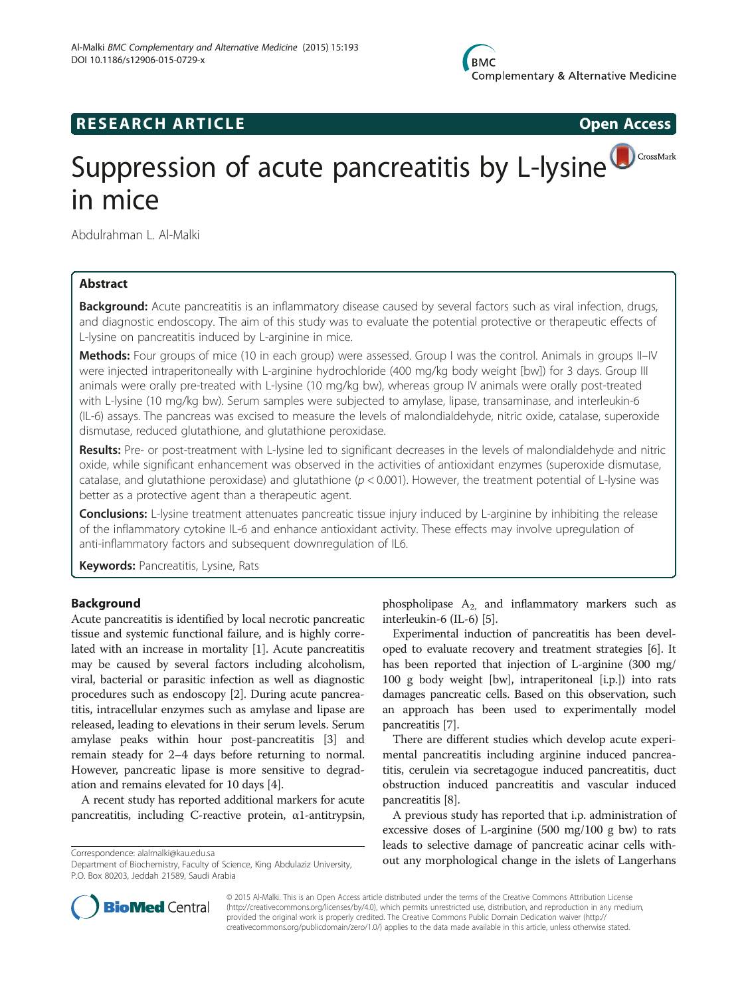# **RESEARCH ARTICLE Example 2018 Open Access**

# Suppression of acute pancreatitis by L-lysine in mice

Abdulrahman L. Al-Malki

# Abstract

Background: Acute pancreatitis is an inflammatory disease caused by several factors such as viral infection, drugs, and diagnostic endoscopy. The aim of this study was to evaluate the potential protective or therapeutic effects of L-lysine on pancreatitis induced by L-arginine in mice.

Methods: Four groups of mice (10 in each group) were assessed. Group I was the control. Animals in groups II–IV were injected intraperitoneally with L-arginine hydrochloride (400 mg/kg body weight [bw]) for 3 days. Group III animals were orally pre-treated with L-lysine (10 mg/kg bw), whereas group IV animals were orally post-treated with L-lysine (10 mg/kg bw). Serum samples were subjected to amylase, lipase, transaminase, and interleukin-6 (IL-6) assays. The pancreas was excised to measure the levels of malondialdehyde, nitric oxide, catalase, superoxide dismutase, reduced glutathione, and glutathione peroxidase.

Results: Pre- or post-treatment with L-lysine led to significant decreases in the levels of malondialdehyde and nitric oxide, while significant enhancement was observed in the activities of antioxidant enzymes (superoxide dismutase, catalase, and glutathione peroxidase) and glutathione ( $p < 0.001$ ). However, the treatment potential of L-lysine was better as a protective agent than a therapeutic agent.

**Conclusions:** L-lysine treatment attenuates pancreatic tissue injury induced by L-arginine by inhibiting the release of the inflammatory cytokine IL-6 and enhance antioxidant activity. These effects may involve upregulation of anti-inflammatory factors and subsequent downregulation of IL6.

Keywords: Pancreatitis, Lysine, Rats

### Background

Acute pancreatitis is identified by local necrotic pancreatic tissue and systemic functional failure, and is highly correlated with an increase in mortality [[1\]](#page-5-0). Acute pancreatitis may be caused by several factors including alcoholism, viral, bacterial or parasitic infection as well as diagnostic procedures such as endoscopy [\[2](#page-5-0)]. During acute pancreatitis, intracellular enzymes such as amylase and lipase are released, leading to elevations in their serum levels. Serum amylase peaks within hour post-pancreatitis [[3](#page-5-0)] and remain steady for 2–4 days before returning to normal. However, pancreatic lipase is more sensitive to degradation and remains elevated for 10 days [[4\]](#page-5-0).

A recent study has reported additional markers for acute pancreatitis, including C-reactive protein, α1-antitrypsin,

phospholipase  $A_2$  and inflammatory markers such as interleukin-6 (IL-6) [[5](#page-5-0)].

Experimental induction of pancreatitis has been developed to evaluate recovery and treatment strategies [[6](#page-5-0)]. It has been reported that injection of L-arginine (300 mg/ 100 g body weight [bw], intraperitoneal [i.p.]) into rats damages pancreatic cells. Based on this observation, such an approach has been used to experimentally model pancreatitis [\[7\]](#page-5-0).

There are different studies which develop acute experimental pancreatitis including arginine induced pancreatitis, cerulein via secretagogue induced pancreatitis, duct obstruction induced pancreatitis and vascular induced pancreatitis [\[8](#page-5-0)].

A previous study has reported that i.p. administration of excessive doses of L-arginine (500 mg/100 g bw) to rats leads to selective damage of pancreatic acinar cells withCorrespondence: [alalmalki@kau.edu.sa](mailto:alalmalki@kau.edu.sa)<br>Department of Biochemistry Faculty of Science King Abdulaziz University **could any morphological change in the islets of Langerhans** 



© 2015 Al-Malki. This is an Open Access article distributed under the terms of the Creative Commons Attribution License [\(http://creativecommons.org/licenses/by/4.0\)](http://creativecommons.org/licenses/by/4.0), which permits unrestricted use, distribution, and reproduction in any medium, provided the original work is properly credited. The Creative Commons Public Domain Dedication waiver [\(http://](http://creativecommons.org/publicdomain/zero/1.0/) [creativecommons.org/publicdomain/zero/1.0/\)](http://creativecommons.org/publicdomain/zero/1.0/) applies to the data made available in this article, unless otherwise stated.

Department of Biochemistry, Faculty of Science, King Abdulaziz University, P.O. Box 80203, Jeddah 21589, Saudi Arabia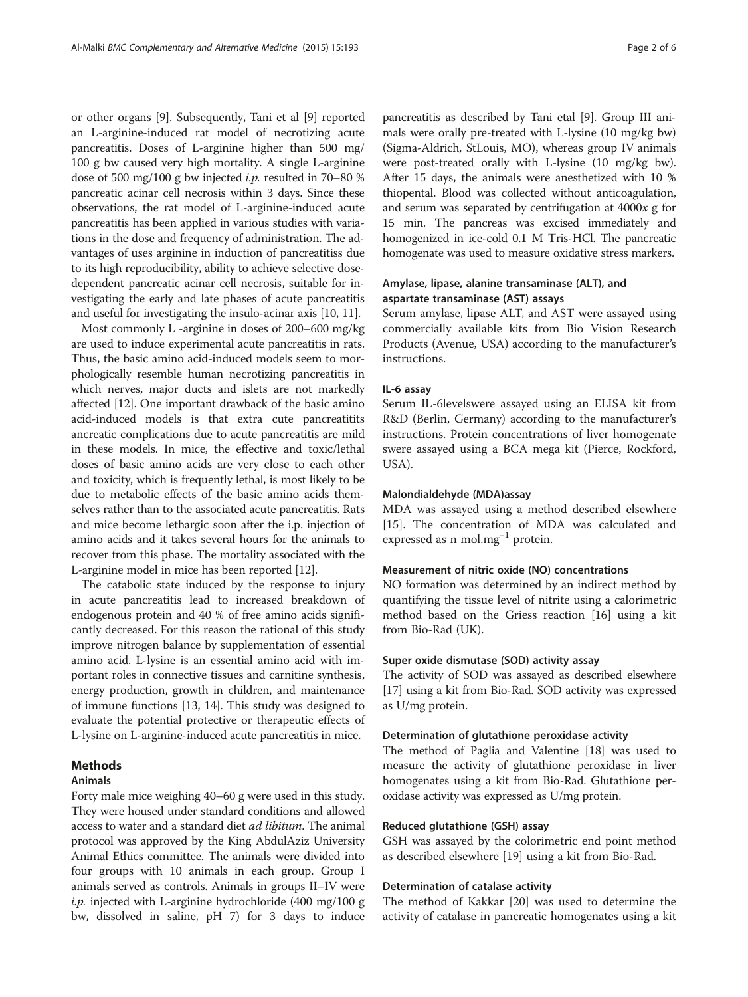or other organs [\[9](#page-5-0)]. Subsequently, Tani et al [[9\]](#page-5-0) reported an L-arginine-induced rat model of necrotizing acute pancreatitis. Doses of L-arginine higher than 500 mg/ 100 g bw caused very high mortality. A single L-arginine dose of 500 mg/100 g bw injected *i.p.* resulted in 70–80 % pancreatic acinar cell necrosis within 3 days. Since these observations, the rat model of L-arginine-induced acute pancreatitis has been applied in various studies with variations in the dose and frequency of administration. The advantages of uses arginine in induction of pancreatitiss due to its high reproducibility, ability to achieve selective dosedependent pancreatic acinar cell necrosis, suitable for investigating the early and late phases of acute pancreatitis and useful for investigating the insulo-acinar axis [\[10, 11](#page-5-0)].

Most commonly L -arginine in doses of 200–600 mg/kg are used to induce experimental acute pancreatitis in rats. Thus, the basic amino acid-induced models seem to morphologically resemble human necrotizing pancreatitis in which nerves, major ducts and islets are not markedly affected [[12](#page-5-0)]. One important drawback of the basic amino acid-induced models is that extra cute pancreatitits ancreatic complications due to acute pancreatitis are mild in these models. In mice, the effective and toxic/lethal doses of basic amino acids are very close to each other and toxicity, which is frequently lethal, is most likely to be due to metabolic effects of the basic amino acids themselves rather than to the associated acute pancreatitis. Rats and mice become lethargic soon after the i.p. injection of amino acids and it takes several hours for the animals to recover from this phase. The mortality associated with the L-arginine model in mice has been reported [\[12\]](#page-5-0).

The catabolic state induced by the response to injury in acute pancreatitis lead to increased breakdown of endogenous protein and 40 % of free amino acids significantly decreased. For this reason the rational of this study improve nitrogen balance by supplementation of essential amino acid. L-lysine is an essential amino acid with important roles in connective tissues and carnitine synthesis, energy production, growth in children, and maintenance of immune functions [[13](#page-5-0), [14](#page-5-0)]. This study was designed to evaluate the potential protective or therapeutic effects of L-lysine on L-arginine-induced acute pancreatitis in mice.

#### **Methods**

#### Animals

Forty male mice weighing 40–60 g were used in this study. They were housed under standard conditions and allowed access to water and a standard diet *ad libitum*. The animal protocol was approved by the King AbdulAziz University Animal Ethics committee. The animals were divided into four groups with 10 animals in each group. Group I animals served as controls. Animals in groups II–IV were *i.p.* injected with L-arginine hydrochloride  $(400 \text{ mg}/100 \text{ g})$ bw, dissolved in saline, pH 7) for 3 days to induce

pancreatitis as described by Tani etal [\[9](#page-5-0)]. Group III animals were orally pre-treated with L-lysine (10 mg/kg bw) (Sigma-Aldrich, StLouis, MO), whereas group IV animals were post-treated orally with L-lysine (10 mg/kg bw). After 15 days, the animals were anesthetized with 10 % thiopental. Blood was collected without anticoagulation, and serum was separated by centrifugation at 4000x g for 15 min. The pancreas was excised immediately and homogenized in ice-cold 0.1 M Tris-HCl. The pancreatic homogenate was used to measure oxidative stress markers.

#### Amylase, lipase, alanine transaminase (ALT), and aspartate transaminase (AST) assays

Serum amylase, lipase ALT, and AST were assayed using commercially available kits from Bio Vision Research Products (Avenue, USA) according to the manufacturer's instructions.

#### IL-6 assay

Serum IL-6levelswere assayed using an ELISA kit from R&D (Berlin, Germany) according to the manufacturer's instructions. Protein concentrations of liver homogenate swere assayed using a BCA mega kit (Pierce, Rockford, USA).

#### Malondialdehyde (MDA)assay

MDA was assayed using a method described elsewhere [[15\]](#page-5-0). The concentration of MDA was calculated and expressed as n mol.mg<sup>-1</sup> protein.

#### Measurement of nitric oxide (NO) concentrations

NO formation was determined by an indirect method by quantifying the tissue level of nitrite using a calorimetric method based on the Griess reaction [[16\]](#page-5-0) using a kit from Bio-Rad (UK).

#### Super oxide dismutase (SOD) activity assay

The activity of SOD was assayed as described elsewhere [[17](#page-5-0)] using a kit from Bio-Rad. SOD activity was expressed as U/mg protein.

#### Determination of glutathione peroxidase activity

The method of Paglia and Valentine [\[18\]](#page-5-0) was used to measure the activity of glutathione peroxidase in liver homogenates using a kit from Bio-Rad. Glutathione peroxidase activity was expressed as U/mg protein.

#### Reduced glutathione (GSH) assay

GSH was assayed by the colorimetric end point method as described elsewhere [[19](#page-5-0)] using a kit from Bio-Rad.

#### Determination of catalase activity

The method of Kakkar [[20](#page-5-0)] was used to determine the activity of catalase in pancreatic homogenates using a kit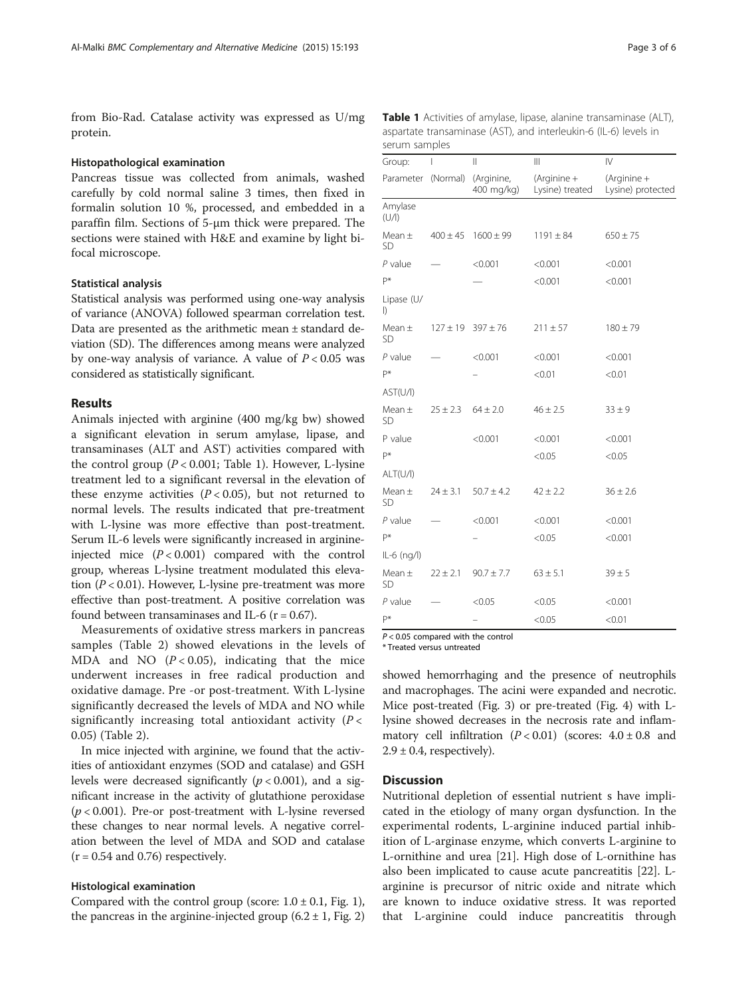from Bio-Rad. Catalase activity was expressed as U/mg protein.

#### Histopathological examination

Pancreas tissue was collected from animals, washed carefully by cold normal saline 3 times, then fixed in formalin solution 10 %, processed, and embedded in a paraffin film. Sections of 5-μm thick were prepared. The sections were stained with H&E and examine by light bifocal microscope.

#### Statistical analysis

Statistical analysis was performed using one-way analysis of variance (ANOVA) followed spearman correlation test. Data are presented as the arithmetic mean ± standard deviation (SD). The differences among means were analyzed by one-way analysis of variance. A value of  $P < 0.05$  was considered as statistically significant.

#### Results

Animals injected with arginine (400 mg/kg bw) showed a significant elevation in serum amylase, lipase, and transaminases (ALT and AST) activities compared with the control group  $(P < 0.001$ ; Table 1). However, L-lysine treatment led to a significant reversal in the elevation of these enzyme activities  $(P < 0.05)$ , but not returned to normal levels. The results indicated that pre-treatment with L-lysine was more effective than post-treatment. Serum IL-6 levels were significantly increased in arginineinjected mice  $(P < 0.001)$  compared with the control group, whereas L-lysine treatment modulated this elevation  $(P < 0.01)$ . However, L-lysine pre-treatment was more effective than post-treatment. A positive correlation was found between transaminases and IL-6 ( $r = 0.67$ ).

Measurements of oxidative stress markers in pancreas samples (Table [2](#page-3-0)) showed elevations in the levels of MDA and NO  $(P< 0.05)$ , indicating that the mice underwent increases in free radical production and oxidative damage. Pre -or post-treatment. With L-lysine significantly decreased the levels of MDA and NO while significantly increasing total antioxidant activity  $(P <$ 0.05) (Table [2](#page-3-0)).

In mice injected with arginine, we found that the activities of antioxidant enzymes (SOD and catalase) and GSH levels were decreased significantly  $(p < 0.001)$ , and a significant increase in the activity of glutathione peroxidase  $(p < 0.001)$ . Pre-or post-treatment with L-lysine reversed these changes to near normal levels. A negative correlation between the level of MDA and SOD and catalase  $(r = 0.54$  and 0.76) respectively.

#### Histological examination

Compared with the control group (score:  $1.0 \pm 0.1$ , Fig. [1](#page-3-0)), the pancreas in the arginine-injected group  $(6.2 \pm 1,$  Fig. [2](#page-4-0))

Table 1 Activities of amylase, lipase, alanine transaminase (ALT), aspartate transaminase (AST), and interleukin-6 (IL-6) levels in serum samples

| Group:                  | I            | $\parallel$              | $\begin{array}{c} \hline \end{array}$ | IV                               |
|-------------------------|--------------|--------------------------|---------------------------------------|----------------------------------|
| Parameter               | (Normal)     | (Arginine,<br>400 mg/kg) | (Arginine +<br>Lysine) treated        | (Arginine +<br>Lysine) protected |
| Amylase<br>(U/1)        |              |                          |                                       |                                  |
| Mean $\pm$<br><b>SD</b> | $400 \pm 45$ | $1600 \pm 99$            | $1191 \pm 84$                         | $650 \pm 75$                     |
| $P$ value               |              | < 0.001                  | < 0.001                               | < 0.001                          |
| p*                      |              |                          | < 0.001                               | < 0.001                          |
| Lipase (U/<br>I)        |              |                          |                                       |                                  |
| Mean $\pm$<br><b>SD</b> | $127 \pm 19$ | $397 \pm 76$             | $211 \pm 57$                          | $180 \pm 79$                     |
| $P$ value               |              | < 0.001                  | < 0.001                               | < 0.001                          |
| p*                      |              |                          | < 0.01                                | < 0.01                           |
| AST(U/l)                |              |                          |                                       |                                  |
| Mean $\pm$<br><b>SD</b> | $25 \pm 2.3$ | $64 \pm 2.0$             | $46 \pm 2.5$                          | $33 \pm 9$                       |
| P value                 |              | < 0.001                  | < 0.001                               | < 0.001                          |
| p*                      |              |                          | < 0.05                                | < 0.05                           |
| ALT(U/l)                |              |                          |                                       |                                  |
| Mean $\pm$<br><b>SD</b> | $24 \pm 3.1$ | $50.7 \pm 4.2$           | $42 \pm 2.2$                          | $36 \pm 2.6$                     |
| $P$ value               |              | < 0.001                  | < 0.001                               | < 0.001                          |
| p*                      |              |                          | < 0.05                                | < 0.001                          |
| IL-6 (ng/l)             |              |                          |                                       |                                  |
| Mean $\pm$<br>SD        | $22 \pm 2.1$ | $90.7 \pm 7.7$           | $63 \pm 5.1$                          | $39 \pm 5$                       |
| $P$ value               |              | < 0.05                   | < 0.05                                | < 0.001                          |
| P*                      |              |                          | < 0.05                                | < 0.01                           |

 $P < 0.05$  compared with the control

\* Treated versus untreated

showed hemorrhaging and the presence of neutrophils and macrophages. The acini were expanded and necrotic. Mice post-treated (Fig. [3\)](#page-4-0) or pre-treated (Fig. [4](#page-4-0)) with Llysine showed decreases in the necrosis rate and inflammatory cell infiltration  $(P < 0.01)$  (scores:  $4.0 \pm 0.8$  and  $2.9 \pm 0.4$ , respectively).

#### **Discussion**

Nutritional depletion of essential nutrient s have implicated in the etiology of many organ dysfunction. In the experimental rodents, L-arginine induced partial inhibition of L-arginase enzyme, which converts L-arginine to L-ornithine and urea [\[21](#page-5-0)]. High dose of L-ornithine has also been implicated to cause acute pancreatitis [[22](#page-5-0)]. Larginine is precursor of nitric oxide and nitrate which are known to induce oxidative stress. It was reported that L-arginine could induce pancreatitis through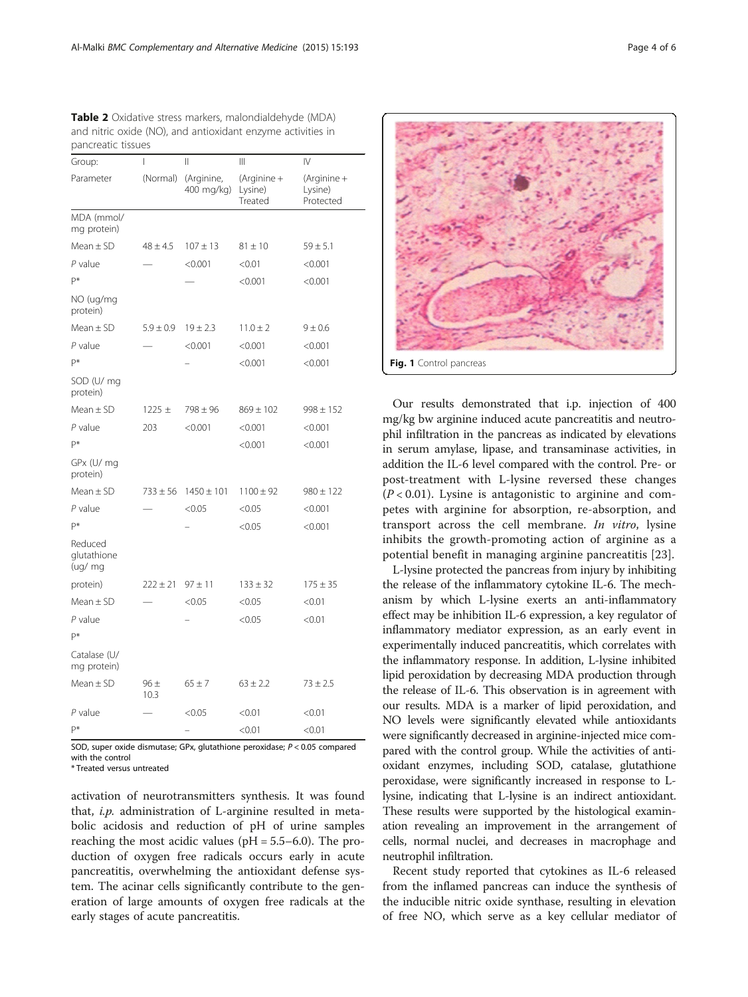| Group:                            | I             | II                       | $\mathbb{H}$                      | IV                                  |
|-----------------------------------|---------------|--------------------------|-----------------------------------|-------------------------------------|
| Parameter                         | (Normal)      | (Arginine,<br>400 mg/kg) | (Arginine +<br>Lysine)<br>Treated | (Arginine +<br>Lysine)<br>Protected |
| MDA (mmol/<br>mg protein)         |               |                          |                                   |                                     |
| $Mean \pm SD$                     | $48 \pm 4.5$  | $107 \pm 13$             | $81 \pm 10$                       | $59 \pm 5.1$                        |
| $P$ value                         |               | < 0.001                  | < 0.01                            | < 0.001                             |
| p*                                |               |                          | < 0.001                           | < 0.001                             |
| NO (ug/mg<br>protein)             |               |                          |                                   |                                     |
| Mean $\pm$ SD                     | $5.9 \pm 0.9$ | $19 \pm 2.3$             | $11.0 \pm 2$                      | $9 + 0.6$                           |
| $P$ value                         |               | < 0.001                  | < 0.001                           | < 0.001                             |
| p*                                |               |                          | < 0.001                           | < 0.001                             |
| SOD (U/ mg<br>protein)            |               |                          |                                   |                                     |
| Mean $\pm$ SD                     | 1225 $\pm$    | $798 \pm 96$             | $869 \pm 102$                     | $998 \pm 152$                       |
| $P$ value                         | 203           | < 0.001                  | < 0.001                           | < 0.001                             |
| p*                                |               |                          | < 0.001                           | < 0.001                             |
| GPx (U/ mg<br>protein)            |               |                          |                                   |                                     |
| $Mean \pm SD$                     | $733 \pm 56$  | $1450 \pm 101$           | $1100 \pm 92$                     | $980 \pm 122$                       |
| P value                           |               | < 0.05                   | < 0.05                            | < 0.001                             |
| p*                                |               |                          | < 0.05                            | < 0.001                             |
| Reduced<br>glutathione<br>(ug/ mg |               |                          |                                   |                                     |
| protein)                          | $222 \pm 21$  | $97 + 11$                | $133 \pm 32$                      | $175 \pm 35$                        |
| $Mean \pm SD$                     |               | < 0.05                   | < 0.05                            | < 0.01                              |
| $P$ value                         |               |                          | < 0.05                            | < 0.01                              |
| p*                                |               |                          |                                   |                                     |
| Catalase (U/<br>mg protein)       |               |                          |                                   |                                     |
| $Mean \pm SD$                     | 96±<br>10.3   | $65 \pm 7$               | $63 \pm 2.2$                      | $73 \pm 2.5$                        |
| $P$ value                         |               | < 0.05                   | < 0.01                            | < 0.01                              |
| $P^*$                             |               |                          | < 0.01                            | < 0.01                              |

<span id="page-3-0"></span>Table 2 Oxidative stress markers, malondialdehyde (MDA) and nitric oxide (NO), and antioxidant enzyme activities in pancreatic tissues

SOD, super oxide dismutase; GPx, glutathione peroxidase; P < 0.05 compared with the control

\* Treated versus untreated

activation of neurotransmitters synthesis. It was found that, i.p. administration of L-arginine resulted in metabolic acidosis and reduction of pH of urine samples reaching the most acidic values (pH = 5.5–6.0). The production of oxygen free radicals occurs early in acute pancreatitis, overwhelming the antioxidant defense system. The acinar cells significantly contribute to the generation of large amounts of oxygen free radicals at the early stages of acute pancreatitis.



Our results demonstrated that i.p. injection of 400 mg/kg bw arginine induced acute pancreatitis and neutrophil infiltration in the pancreas as indicated by elevations in serum amylase, lipase, and transaminase activities, in addition the IL-6 level compared with the control. Pre- or post-treatment with L-lysine reversed these changes  $(P<0.01)$ . Lysine is antagonistic to arginine and competes with arginine for absorption, re-absorption, and transport across the cell membrane. In vitro, lysine inhibits the growth-promoting action of arginine as a potential benefit in managing arginine pancreatitis [[23\]](#page-5-0).

L-lysine protected the pancreas from injury by inhibiting the release of the inflammatory cytokine IL-6. The mechanism by which L-lysine exerts an anti-inflammatory effect may be inhibition IL-6 expression, a key regulator of inflammatory mediator expression, as an early event in experimentally induced pancreatitis, which correlates with the inflammatory response. In addition, L-lysine inhibited lipid peroxidation by decreasing MDA production through the release of IL-6. This observation is in agreement with our results. MDA is a marker of lipid peroxidation, and NO levels were significantly elevated while antioxidants were significantly decreased in arginine-injected mice compared with the control group. While the activities of antioxidant enzymes, including SOD, catalase, glutathione peroxidase, were significantly increased in response to Llysine, indicating that L-lysine is an indirect antioxidant. These results were supported by the histological examination revealing an improvement in the arrangement of cells, normal nuclei, and decreases in macrophage and neutrophil infiltration.

Recent study reported that cytokines as IL-6 released from the inflamed pancreas can induce the synthesis of the inducible nitric oxide synthase, resulting in elevation of free NO, which serve as a key cellular mediator of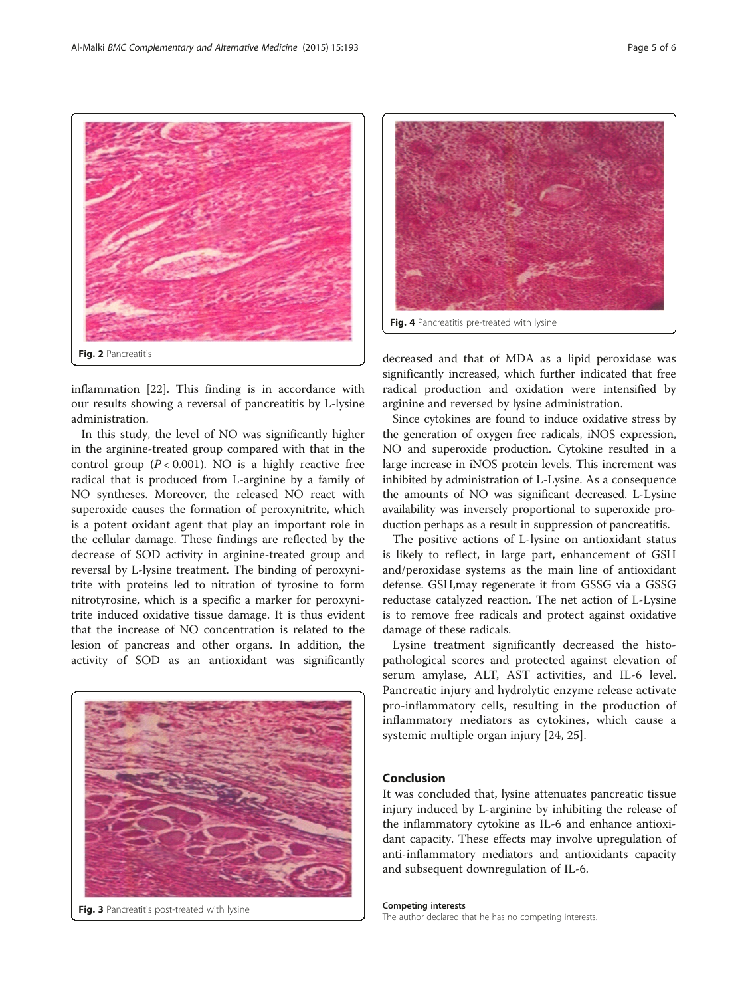inflammation [[22\]](#page-5-0). This finding is in accordance with our results showing a reversal of pancreatitis by L-lysine administration.

Fig. 2 Pancreatitis

In this study, the level of NO was significantly higher in the arginine-treated group compared with that in the control group  $(P < 0.001)$ . NO is a highly reactive free radical that is produced from L-arginine by a family of NO syntheses. Moreover, the released NO react with superoxide causes the formation of peroxynitrite, which is a potent oxidant agent that play an important role in the cellular damage. These findings are reflected by the decrease of SOD activity in arginine-treated group and reversal by L-lysine treatment. The binding of peroxynitrite with proteins led to nitration of tyrosine to form nitrotyrosine, which is a specific a marker for peroxynitrite induced oxidative tissue damage. It is thus evident that the increase of NO concentration is related to the lesion of pancreas and other organs. In addition, the activity of SOD as an antioxidant was significantly

# Al-Malki BMC Complementary and Alternative Medicine (2015) 15:193 **Page 1 and 2018** Page 5 of 6



Since cytokines are found to induce oxidative stress by the generation of oxygen free radicals, iNOS expression, NO and superoxide production. Cytokine resulted in a large increase in iNOS protein levels. This increment was inhibited by administration of L-Lysine. As a consequence the amounts of NO was significant decreased. L-Lysine availability was inversely proportional to superoxide production perhaps as a result in suppression of pancreatitis.

The positive actions of L-lysine on antioxidant status is likely to reflect, in large part, enhancement of GSH and/peroxidase systems as the main line of antioxidant defense. GSH,may regenerate it from GSSG via a GSSG reductase catalyzed reaction. The net action of L-Lysine is to remove free radicals and protect against oxidative damage of these radicals.

Lysine treatment significantly decreased the histopathological scores and protected against elevation of serum amylase, ALT, AST activities, and IL-6 level. Pancreatic injury and hydrolytic enzyme release activate pro-inflammatory cells, resulting in the production of inflammatory mediators as cytokines, which cause a systemic multiple organ injury [[24, 25\]](#page-5-0).

### Conclusion

It was concluded that, lysine attenuates pancreatic tissue injury induced by L-arginine by inhibiting the release of the inflammatory cytokine as IL-6 and enhance antioxidant capacity. These effects may involve upregulation of anti-inflammatory mediators and antioxidants capacity and subsequent downregulation of IL-6.

#### Competing interests

**Fig. 3** Pancreatitis post-treated with lysine **Example 10 Competing interests Fig. 3** Pancreatitis post-treated with lysine **Fig. 3** The author declared that he has no competing interests.

<span id="page-4-0"></span>